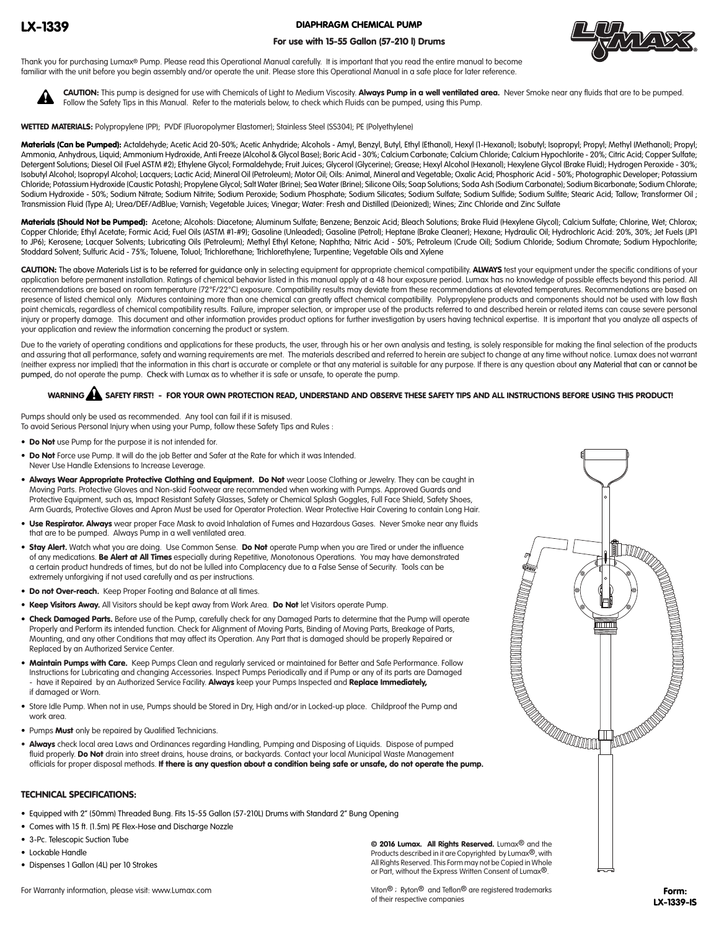## LX-1339

DIAPHRAGM CHEMICAL PUMP

### For use with 15-55 Gallon (57-210 l) Drums



Thank you for purchasing Lumax® Pump. Please read this Operational Manual carefully. It is important that you read the entire manual to become familiar with the unit before you begin assembly and/or operate the unit. Please store this Operational Manual in a safe place for later reference.



CAUTION: This pump is designed for use with Chemicals of Light to Medium Viscosity. Always Pump in a well ventilated area. Never Smoke near any fluids that are to be pumped. Follow the Safety Tips in this Manual. Refer to the materials below, to check which Fluids can be pumped, using this Pump.

WETTED MATERIALS: Polypropylene (PP); PVDF (Fluoropolymer Elastomer); Stainless Steel (SS304); PE (Polyethylene)

Materials (Can be Pumped): Actaldehyde; Acetic Acid 20-50%; Acetic Anhydride; Alcohols - Amyl, Benzyl, Butyl, Ethyl (Ethanol), Hexyl (1-Hexanol); Isobutyl; Isopropyl; Propyl; Methyl (Methanol); Propyl; Ammonia, Anhydrous, Liquid; Ammonium Hydroxide, Anti Freeze (Alcohol & Glycol Base); Boric Acid - 30%; Calcium Carbonate; Calcium Chloride; Calcium Hypochlorite - 20%; Citric Acid; Copper Sulfate; Detergent Solutions; Diesel Oil (Fuel ASTM #2); Ethylene Glycol; Formaldehyde; Fruit Juices; Glycerol (Glycerine); Grease; Hexyl Alcohol (Hexanol); Hexylene Glycol (Brake Fluid); Hydrogen Peroxide - 30%; Isobutyl Alcohol; Isopropyl Alcohol; Lacquers; Lactic Acid; Mineral Oil (Petroleum); Motor Oil; Oils: Animal, Mineral and Vegetable; Oxalic Acid; Phosphoric Acid - 50%; Photographic Developer; Potassium Chloride; Potassium Hydroxide (Caustic Potash); Propylene Glycol; Salt Water (Brine); Sea Water (Brine); Silicone Oils; Soap Solutions; Soda Ash (Sodium Carbonate); Sodium Bicarbonate; Sodium Chlorate; Sodium Hydroxide - 50%; Sodium Nitrate; Sodium Nitrite; Sodium Peroxide; Sodium Phosphate; Sodium Silicates; Sodium Sulfate; Sodium Sulfide; Sodium Sulfite; Stearic Acid; Tallow; Transformer Oil ; Transmission Fluid (Type A); Urea/DEF/AdBlue; Varnish; Vegetable Juices; Vinegar; Water: Fresh and Distilled (Deionized); Wines; Zinc Chloride and Zinc Sulfate

Materials (Should Not be Pumped): Acetone; Alcohols: Diacetone; Aluminum Sulfate; Benzene; Benzoic Acid; Bleach Solutions; Brake Fluid (Hexylene Glycol); Calcium Sulfate; Chlorine, Wet; Chlorox; Copper Chloride; Ethyl Acetate; Formic Acid; Fuel Oils (ASTM #1-#9); Gasoline (Unleaded); Gasoline (Petrol); Heptane (Brake Cleaner); Hexane; Hydraulic Oil; Hydrochloric Acid: 20%, 30%; Jet Fuels (JP1 to JP6); Kerosene; Lacquer Solvents; Lubricating Oils (Petroleum); Methyl Ethyl Ketone; Naphtha; Nitric Acid - 50%; Petroleum (Crude Oil); Sodium Chloride; Sodium Chromate; Sodium Hypochlorite; Stoddard Solvent; Sulfuric Acid - 75%; Toluene, Toluol; Trichlorethane; Trichlorethylene; Turpentine; Vegetable Oils and Xylene

CAUTION: The above Materials List is to be referred for quidance only in selecting equipment for appropriate chemical compatibility. ALWAYS test your equipment under the specific conditions of your application before permanent installation. Ratings of chemical behavior listed in this manual apply at a 48 hour exposure period. Lumax has no knowledge of possible effects beyond this period. All recommendations are based on room temperature (72°F/22°C) exposure. Compatibility results may deviate from these recommendations at elevated temperatures. Recommendations are based on presence of listed chemical only. Mixtures containing more than one chemical can greatly affect chemical compatibility. Polypropylene products and components should not be used with low flash point chemicals, regardless of chemical compatibility results. Failure, improper selection, or improper use of the products referred to and described herein or related items can cause severe personal injury or property damage. This document and other information provides product options for further investigation by users having technical expertise. It is important that you analyze all aspects of your application and review the information concerning the product or system.

Due to the variety of operating conditions and applications for these products, the user, through his or her own analysis and testing, is solely responsible for making the final selection of the products and assuring that all performance, safety and warning requirements are met. The materials described and referred to herein are subject to change at any time without notice. Lumax does not warrant (neither express nor implied) that the information in this chart is accurate or complete or that any material is suitable for any purpose. If there is any question about any Material that can or cannot be pumped, do not operate the pump. Check with Lumax as to whether it is safe or unsafe, to operate the pump.

# WARNING  $\blacktriangle$  safety first! - For your own protection read, understand and observe these safety tips and all instructions before using this product!

Pumps should only be used as recommended. Any tool can fail if it is misused. To avoid Serious Personal Injury when using your Pump, follow these Safety Tips and Rules :

- Do Not use Pump for the purpose it is not intended for.
- Do Not Force use Pump. It will do the job Better and Safer at the Rate for which it was Intended. Never Use Handle Extensions to Increase Leverage.
- Always Wear Appropriate Protective Clothing and Equipment. Do Not wear Loose Clothing or Jewelry. They can be caught in Moving Parts. Protective Gloves and Non-skid Footwear are recommended when working with Pumps. Approved Guards and Protective Equipment, such as, Impact Resistant Safety Glasses, Safety or Chemical Splash Goggles, Full Face Shield, Safety Shoes, Arm Guards, Protective Gloves and Apron Must be used for Operator Protection. Wear Protective Hair Covering to contain Long Hair.
- . Use Respirator. Always wear proper Face Mask to avoid Inhalation of Fumes and Hazardous Gases. Never Smoke near any fluids that are to be pumped. Always Pump in a well ventilated area.
- . Stay Alert. Watch what you are doing. Use Common Sense. Do Not operate Pump when you are Tired or under the influence of any medications. Be Alert at All Times especially during Repetitive, Monotonous Operations. You may have demonstrated a certain product hundreds of times, but do not be lulled into Complacency due to a False Sense of Security. Tools can be extremely unforgiving if not used carefully and as per instructions.
- **Do not Over-reach.** Keep Proper Footing and Balance at all times.
- Keep Visitors Away. All Visitors should be kept away from Work Area. Do Not let Visitors operate Pump.
- **Check Damaged Parts.** Before use of the Pump, carefully check for any Damaged Parts to determine that the Pump will operate Properly and Perform its intended function. Check for Alignment of Moving Parts, Binding of Moving Parts, Breakage of Parts, Mounting, and any other Conditions that may affect its Operation. Any Part that is damaged should be properly Repaired or Replaced by an Authorized Service Center. CHANICAL CHENICAL CHENICAL CHENICAL CHENICAL CHENICAL CHENICAL CHENICAL CHENICAL CHENICAL CHENICAL CHENICAL CHENICAL CHENICAL CHENICAL CHENICAL CHENICAL CHENICAL CHENICAL CHENICAL CHENICAL CHENICAL CHENICAL CHENICAL CHENIC
- **Maintain Pumps with Care.** Keep Pumps Clean and regularly serviced or maintained for Better and Safe Performance. Follow Instructions for Lubricating and changing Accessories. Inspect Pumps Periodically and if Pump or any of its parts are Damaged have it Repaired by an Authorized Service Facility. Always keep your Pumps Inspected and Replace Immediately, if damaged or Worn.
- Store Idle Pump. When not in use, Pumps should be Stored in Dry, High and/or in Locked-up place. Childproof the Pump and work area.
- Pumps Must only be repaired by Qualified Technicians.
- Always check local area Laws and Ordinances regarding Handling, Pumping and Disposing of Liquids. Dispose of pumped fluid properly. Do Not drain into street drains, house drains, or backyards. Contact your local Municipal Waste Management

#### TECHNICAL SPECIFICATIONS:

- Equipped with 2" (50mm) Threaded Bung. Fits 15-55 Gallon (57-210L) Drums with Standard 2" Bung Opening
- Comes with 15 ft. (1.5m) PE Flex-Hose and Discharge Nozzle
- 3-Pc. Telescopic Suction Tube
- Lockable Handle
- Dispenses 1 Gallon (4L) per 10 Strokes

For Warranty information, please visit: www.Lumax.com

© 2016 Lumax. All Rights Reserved. Lumax® and the Products described in it are Copyrighted by Lumax®, with All Rights Reserved. This Form may not be Copied in Whole or Part, without the Express Written Consent of Lumax®.

Viton® ; Ryton® and Teflon® are registered trademarks of their respective companies

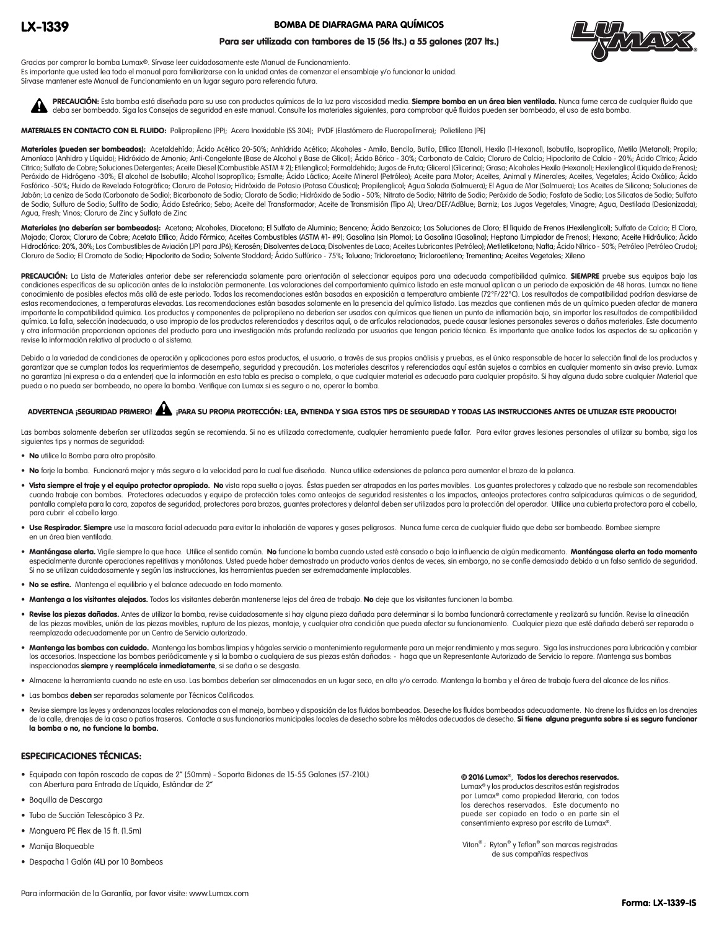#### BOMBA DE DIAFRAGMA PARA QUÍMICOS

#### Para ser utilizada con tambores de 15 (56 lts.) a 55 galones (207 lts.)



Gracias por comprar la bomba Lumax®. Sírvase leer cuidadosamente este Manual de Funcionamiento. Es importante que usted lea todo el manual para familiarizarse con la unidad antes de comenzar el ensamblaje y/o funcionar la unidad. Sírvase mantener este Manual de Funcionamiento en un lugar seguro para referencia futura.

PRECAUCIÓN: Esta bomba está diseñada para su uso con productos químicos de la luz para viscosidad media. Siempre bomba en un área bien ventilada. Nunca fume cerca de cualquier fluido que deba ser bombeado. Siga los Consejos de seguridad en este manual. Consulte los materiales siguientes, para comprobar qué fluidos pueden ser bombeado, el uso de esta bomba.  $\blacktriangle$ 

MATERIALES EN CONTACTO CON EL FLUIDO: Polipropileno (PP); Acero Inoxidable (SS 304); PVDF (Elastómero de Fluoropolímero); Polietileno (PE)

Materiales (pueden ser bombeados): Acetaldehído; Ácido Acético 20-50%; Anhídrido Acético; Alcoholes - Amilo, Bencilo, Butilo, Etílico (Etanol), Hexilo (1-Hexanol), Isobutilo, Isopropílico, Metilo (Metanol); Propilo; Amoníaco (Anhidro y Líquido); Hidróxido de Amonio; Anti-Congelante (Base de Alcohol y Base de Glicol); Ácido Bórico - 30%; Carbonato de Calcio; Cloruro de Calcio; Hipoclorito de Calcio - 20%; Ácido Cítrico; Ácido Cítrico; Sulfato de Cobre; Soluciones Detergentes; Aceite Diesel (Combustible ASTM # 2); Etilenglicol; Formaldehído; Jugos de Fruta; Glicerol (Glicerina); Grasa; Alcoholes Hexilo (Hexanol); Hexilenglicol (Líquido de Frenos); Peróxido de Hidrógeno -30%; El alcohol de Isobutilo; Alcohol Isopropílico; Esmalte; Ácido Láctico; Aceite Mineral (Petróleo); Aceite para Motor; Aceites, Animal y Minerales; Aceites, Vegetales; Ácido Oxálico; Ácido Fosfórico -50%; Fluido de Revelado Fotográfico; Cloruro de Potasio; Hidróxido de Potasio (Potasa Cáustica); Propilenglicol; Agua Salada (Salmuera); El Agua de Mar (Salmuera); Los Aceites de Silicona; Soluciones de Jabón; La ceniza de Soda (Carbonato de Sodio); Bicarbonato de Sodio; Clorato de Sodio; Hidróxido de Sodio - 50%; Nitrato de Sodio; Nitrito de Sodio; Peróxido de Sodio; Peróxido de Sodio; Los Silicatos de Sodio; Sulfato de Sodio; Sulfuro de Sodio; Sulfito de Sodio; Ácido Esteárico; Sebo; Aceite del Transformador; Aceite de Transmisión (Tipo A); Urea/DEF/AdBlue; Barniz; Los Jugos Vegetales; Vinagre; Agua, Destilada (Desionizada); Agua, Fresh; Vinos; Cloruro de Zinc y Sulfato de Zinc

Materiales (no deberían ser bombeados): Acetona; Alcoholes, Diacetona; El Sulfato de Aluminio; Benceno; Ácido Benzoico; Las Soluciones de Cloro; El líquido de Frenos (Hexilenglicol); Sulfato de Calcio; El Cloro, Mojado; Clorox; Cloruro de Cobre; Acetato Etílico; Ácido Fórmico; Aceites Combustibles (ASTM #1- #9); Gasolina (sin Plomo); La Gasolina (Gasolina); Heptano (Limpiador de Frenos); Hexano; Aceite Hidráulico; Ácido Hidroclórico: 20%, 30%; Los Combustibles de Aviación (JP1 para JP6); Kerosén; Disolventes de Laca; Disolventes de Laca; Aceites Lubricantes (Petróleo); Metiletilcetona; Nafta; Ácido Nítrico - 50%; Petróleo (Petróleo Crudo); Cloruro de Sodio; El Cromato de Sodio; Hipoclorito de Sodio; Solvente Stoddard; Ácido Sulfúrico - 75%; Toluano; Tricloroetano; Tricloroetileno; Trementina; Aceites Vegetales; Xileno

PRECAUCIÓN: La Lista de Materiales anterior debe ser referenciada solamente para orientación al seleccionar equipos para una adecuada compatibilidad química. SIEMPRE pruebe sus equipos bajo las condiciones específicas de su aplicación antes de la instalación permanente. Las valoraciones del comportamiento químico listado en este manual aplican a un periodo de exposición de 48 horas. Lumax no tiene conocimiento de posibles efectos más allá de este periodo. Todas las recomendaciones están basadas en exposición a temperatura ambiente (72°F/22°C). Los resultados de compatibilidad podrían desviarse de estas recomendaciones, a temperaturas elevadas. Las recomendaciones están basadas solamente en la presencia del químico listado. Las mezclas que contienen más de un químico pueden afectar de manera importante la compatibilidad química. Los productos y componentes de polipropileno no deberían ser usados con químicos que tienen un punto de inflamación bajo, sin importar los resultados de compatibilidad química. La falla, selección inadecuada, o uso impropio de los productos referenciados y descritos aquí, o de artículos relacionados, puede causar lesiones personales severas o daños materiales. Este documento y otra información proporcionan opciones del producto para una investigación más profunda realizada por usuarios que tengan pericia técnica. Es importante que analice todos los aspectos de su aplicación y revise la información relativa al producto o al sistema.

Debido a la variedad de condiciones de operación y aplicaciones para estos productos, el usuario, a través de sus propios análisis y pruebas, es el único responsable de hacer la selección final de los productos y garantizar que se cumplan todos los requerimientos de desempeño, seguridad y precaución. Los materiales descritos y referenciados aquí están sujetos a cambios en cualquier momento sin aviso previo. Lumax no garantiza (ni expresa o da a entender) que la información en esta tabla es precisa o completa, o que cualquier material es adecuado para cualquier propósito. Si hay alguna duda sobre cualquier Material que pueda o no pueda ser bombeado, no opere la bomba. Verifique con Lumax si es seguro o no, operar la bomba.

# ADVERTENCIA ¡SEGURIDAD PRIMERO! ¡PARA SU PROPIA PROTECCIÓN: LEA, ENTIENDA Y SIGA ESTOS TIPS DE SEGURIDAD Y TODAS LAS INSTRUCCIONES ANTES DE UTILIZAR ESTE PRODUCTO!

Las bombas solamente deberían ser utilizadas según se recomienda. Si no es utilizada correctamente, cualquier herramienta puede fallar. Para evitar graves lesiones personales al utilizar su bomba, siga los siguientes tips y normas de seguridad:

- No utilice la Bomba para otro propósito.
- No forje la bomba. Funcionará mejor y más seguro a la velocidad para la cual fue diseñada. Nunca utilice extensiones de palanca para aumentar el brazo de la palanca.
- · Vista siempre el traje y el equipo protector apropiado. No vista ropa suelta o joyas. Éstas pueden ser atrapadas en las partes movibles. Los guantes protectores y calzado que no resbale son recomendables cuando trabaje con bombas. Protectores adecuados y equipo de protección tales como anteojos de seguridad resistentes a los impactos, anteojos protectores contra salpicaduras químicas o de seguridad, pantalla completa para la cara, zapatos de seguridad, protectores para brazos, guantes protectores y delantal deben ser utilizados para la protección del operador. Utilice una cubierta protectora para el cabello, para cubrir el cabello largo.
- · Use Respirador. Siempre use la mascara facial adecuada para evitar la inhalación de vapores y gases peligrosos. Nunca fume cerca de cualquier fluido que deba ser bombeado. Bombee siempre en un área bien ventilada.
- · Manténgase alerta. Vigile siempre lo que hace. Utilice el sentido común. No funcione la bomba cuando usted esté cansado o bajo la influencia de algún medicamento. Manténgase alerta en todo momento especialmente durante operaciones repetitivas y monótonas. Usted puede haber demostrado un producto varios cientos de veces, sin embargo, no se confíe demasiado debido a un falso sentido de seguridad. Si no se utilizan cuidadosamente y según las instrucciones, las herramientas pueden ser extremadamente implacables.
- No se estire. Mantenga el equilibrio y el balance adecuado en todo momento.
- Mantenga a los visitantes alejados. Todos los visitantes deberán mantenerse lejos del área de trabajo. No deje que los visitantes funcionen la bomba.
- · Revise las piezas dañadas. Antes de utilizar la bomba, revise cuidadosamente si hay alguna pieza dañada para determinar si la bomba funcionará correctamente y realizará su función. Revise la alineación de las piezas movibles, unión de las piezas movibles, ruptura de las piezas, montaje, y cualquier otra condición que pueda afectar su funcionamiento. Cualquier pieza que esté dañada deberá ser reparada o reemplazada adecuadamente por un Centro de Servicio autorizado.
- . Mantenga las bombas con cuidado. Mantenga las bombas limpias y hágales servicio o mantenimiento regularmente para un mejor rendimiento y mas seguro. Siga las instrucciones para lubricación y cambiar los accesorios. Inspeccione las bombas periódicamente y si la bomba o cualquiera de sus piezas están dañadas: - haga que un Representante Autorizado de Servicio lo repare. Mantenga sus bombas inspeccionadas siempre y reemplácela inmediatamente, si se daña o se desgasta.
- Almacene la herramienta cuando no este en uso. Las bombas deberían ser almacenadas en un lugar seco, en alto y/o cerrado. Mantenga la bomba y el área de trabajo fuera del alcance de los niños.
- Las bombas deben ser reparadas solamente por Técnicos Calificados.
- Revise siempre las leyes y ordenanzas locales relacionadas con el manejo, bombeo y disposición de los fluidos bombeados. Deseche los fluidos bombeados adecuadamente. No drene los fluidos en los drenajes de la calle, drenaies de la casa o patios traseros. Contacte a sus funcionarios municipales locales de desecho sobre los métodos adecuados de desecho. Si tiene alguna pregunta sobre si es seguro funcionar la bomba o no, no funcione la bomba.

#### ESPECIFICACIONES TÉCNICAS:

- Equipada con tapón roscado de capas de 2" (50mm) Soporta Bidones de 15-55 Galones (57-210L) con Abertura para Entrada de Líquido, Estándar de 2"
- Boquilla de Descarga
- Tubo de Succión Telescópico 3 Pz.
- Manguera PE Flex de 15 ft. (1.5m)
- Manija Bloqueable
- Despacha 1 Galón (4L) por 10 Bombeos

© 2016 Lumax®, Todos los derechos reservados. Lumax® y los productos descritos están registrados por Lumax® como propiedad literaria, con todos los derechos reservados. Este documento no puede ser copiado en todo o en parte sin el consentimiento expreso por escrito de Lumax®.

Viton® ; Ryton® y Teflon® son marcas registradas de sus compañías respectivas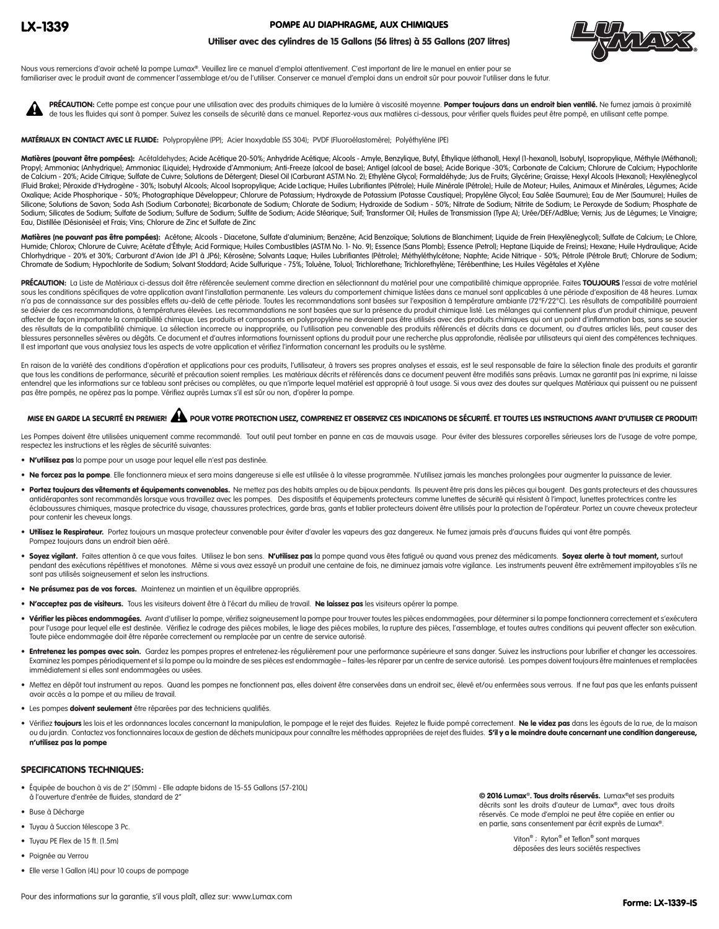#### POMPE AU DIAPHRAGME, AUX CHIMIQUES



#### Utiliser avec des cylindres de 15 Gallons (56 litres) à 55 Gallons (207 litres)

Nous vous remercions d'avoir acheté la pompe Lumax®. Veuillez lire ce manuel d'emploi attentivement. C'est important de lire le manuel en entier pour se familiariser avec le produit avant de commencer l'assemblage et/ou de l'utiliser. Conserver ce manuel d'emploi dans un endroit sûr pour pouvoir l'utiliser dans le futur.

PRÉCAUTION: Cette pompe est conçue pour une utilisation avec des produits chimiques de la lumière à viscosité moyenne. Pomper toujours dans un endroit bien ventilé. Ne fumez jamais à proximité de tous les fluides qui sont à pomper. Suivez les conseils de sécurité dans ce manuel. Reportez-vous aux matières ci-dessous, pour vérifier quels fluides peut être pompé, en utilisant cette pompe.  $\blacktriangle$ 

MATÉRIAUX EN CONTACT AVEC LE FLUIDE: Polypropylène (PP); Acier Inoxydable (SS 304); PVDF (Fluoroélastomère); Polyéthylène (PE)

Matières (pouvant être pompées): Acétaldehydes; Acide Acétique 20-50%; Anhydride Acétique; Alcools - Amyle, Benzylique, Butyl, Éthylique (éthanol), Hexyl (1-hexanol), Isobutyl, Isopropylique, Méthyle (Méthanol); Propyl; Ammoniac (Anhydrique); Ammoniac (Liquide); Hydroxide d'Ammonium; Anti-Freeze (alcool de base); Antigel (alcool de base); Acide Borique -30%; Carbonate de Calcium; Chlorure de Calcium; Hypochlorite de Calcium - 20%; Acide Citrique; Sulfate de Cuivre; Solutions de Détergent; Diesel Oil (Carburant ASTM No. 2); Ethylène Glycol; Formaldéhyde; Jus de Fruits; Glycérine; Graisse; Hexyl Alcools (Hexanol); Hexylèneglycol (Fluid Brake); Péroxide d'Hydrogène - 30%; Isobutyl Alcools; Alcool Isopropylique; Acide Lactique; Huiles Lubrifiantes (Pétrole); Huile Minérale (Pétrole); Huile de Moteur; Huiles, Animaux et Minérales, Légumes; Acide Oxalique; Acide Phosphorique - 50%; Photographique Développeur; Chlorure de Potassium; Hydroxyde de Potassium (Potasse Caustique); Propylène Glycol; Eau Salée (Saumure); Eau de Mer (Saumure); Huiles de Silicone; Solutions de Savon; Soda Ash (Sodium Carbonate); Bicarbonate de Sodium; Chlorate de Sodium; Hydroxide de Sodium - 50%; Nitrate de Sodium; Nitrite de Sodium; Le Peroxyde de Sodium; Phosphate de Sodium; Silicates de Sodium; Sulfate de Sodium; Sulfure de Sodium; Sulfite de Sodium; Acide Stéarique; Suif; Transformer Oil; Huiles de Transmission (Type A); Urée/DEF/AdBlue; Vernis; Jus de Légumes; Le Vinaigre; Eau, Distillée (Désionisée) et Frais; Vins; Chlorure de Zinc et Sulfate de Zinc

Matières (ne pouvant pas être pompées): Acétone; Alcools - Diacetone, Sulfate d'aluminium; Benzène; Acid Benzoïque; Solutions de Blanchiment; Liquide de Frein (Hexylèneglycol); Sulfate de Calcium; Le Chlore, Humide; Chlorox; Chlorure de Cuivre; Acétate d'Éthyle; Acid Formique; Huiles Combustibles (ASTM No. 1- No. 9); Essence (Sans Plomb); Essence (Petrol); Heptane (Liquide de Freins); Hexane; Huile Hydraulique; Acide Chlorhydrique - 20% et 30%; Carburant d'Avion (de JP1 à JP6); Kérosène; Solvants Laque; Huiles Lubrifiantes (Pétrole); Méthyléthylcétone; Naphte; Acide Nitrique - 50%; Pétrole (Pétrole Brut); Chlorure de Sodium; Chromate de Sodium; Hypochlorite de Sodium; Solvant Stoddard; Acide Sulfurique - 75%; Toluène, Toluol; Trichlorethane; Trichlorethylène; Térébenthine; Les Huiles Végétales et Xylène

PRÉCAUTION: La Liste de Matériaux ci-dessus doit être référencée seulement comme direction en sélectionnant du matériel pour une compatibilité chimique appropriée. Faites TOUJOURS l'essai de votre matériel sous les conditions spécifiques de votre application avant l'installation permanente. Les valeurs du comportement chimique listées dans ce manuel sont applicables à une période d'exposition de 48 heures. Lumax n'a pas de connaissance sur des possibles effets au-delà de cette période. Toutes les recommandations sont basées sur l'exposition à température ambiante (72°F/22°C). Les résultats de compatibilité pourraient se dévier de ces recommandations, à températures élevées. Les recommandations ne sont basées que sur la présence du produit chimique listé. Les mélanges qui contiennent plus d'un produit chimique, peuvent affecter de façon importante la compatibilité chimique. Les produits et composants en polypropylène ne devraient pas être utilisés avec des produits chimiques qui ont un point d'inflammation bas, sans se soucier des résultats de la compatibilité chimique. La sélection incorrecte ou inappropriée, ou l'utilisation peu convenable des produits référencés et décrits dans ce document, ou d'autres articles liés, peut causer des blessures personnelles sévères ou dégâts. Ce document et d'autres informations fournissent options du produit pour une recherche plus approfondie, réalisée par utilisateurs qui aient des compétences techniques. Il est important que vous analysiez tous les aspects de votre application et vérifiez l'information concernant les produits ou le système.

En raison de la variété des conditions d'opération et applications pour ces produits, l'utilisateur, à travers ses propres analyses et essais, est le seul responsable de faire la sélection finale des produits et garantir que tous les conditions de performance, sécurité et précaution soient remplies. Les matériaux décrits et référencés dans ce document peuvent être modifiés sans préavis. Lumax ne garantit pas (ni exprime, ni laisse entendre) que les informations sur ce tableau sont précises ou complètes, ou que n'importe lequel matériel est approprié à tout usage. Si vous avez des doutes sur quelques Matériaux qui puissent ou ne puissent pas être pompés, ne opérez pas la pompe. Vérifiez auprès Lumax s'il est sûr ou non, d'opérer la pompe.

# MISE EN GARDE LA SECURITÉ EN PREMIER! À POUR VOTRE PROTECTION LISEZ, COMPRENEZ ET OBSERVEZ CES INDICATIONS DE SÉCURITÉ. ET TOUTES LES INSTRUCTIONS AVANT D'UTILISER CE PRODUIT!

Les Pompes doivent être utilisées uniquement comme recommandé. Tout outil peut tomber en panne en cas de mauvais usage. Pour éviter des blessures corporelles sérieuses lors de l'usage de votre pompe, respectez les instructions et les règles de sécurité suivantes:

- N'utilisez pas la pompe pour un usage pour lequel elle n'est pas destinée.
- Ne forcez pas la pompe. Elle fonctionnera mieux et sera moins dangereuse si elle est utilisée à la vitesse programmée. N'utilisez jamais les manches prolongées pour augmenter la puissance de levier.
- Portez toujours des vêtements et équipements convenables. Ne mettez pas des habits amples ou de bijoux pendants. Ils peuvent être pris dans les pièces qui bougent. Des gants protecteurs et des chaussures antidérapantes sont recommandés lorsque vous travaillez avec les pompes. Des dispositifs et équipements protecteurs comme lunettes de sécurité qui résistent à l'impact, lunettes protectrices contre les éclaboussures chimiques, masque protectrice du visage, chaussures protectrices, garde bras, gants et tablier protecteurs doivent être utilisés pour la protection de l'opérateur. Portez un couvre cheveux protecteur pour contenir les cheveux longs.
- · Utilisez le Respirateur. Portez toujours un masque protecteur convenable pour éviter d'avaler les vapeurs des gaz dangereux. Ne fumez jamais près d'aucuns fluides qui vont être pompés. Pompez toujours dans un endroit bien aéré.
- · Soyez vigilant. Faites attention à ce que vous faites. Utilisez le bon sens. N'utilisez pas la pompe quand vous êtes fatigué ou quand vous prenez des médicaments. Soyez alerte à tout moment, surtout pendant des exécutions répétitives et monotones. Même si vous avez essayé un produit une centaine de fois, ne diminuez jamais votre vigilance. Les instruments peuvent être extrêmement impitoyables s'ils ne sont pas utilisés soigneusement et selon les instructions.
- Ne présumez pas de vos forces. Maintenez un maintien et un équilibre appropriés.
- · N'acceptez pas de visiteurs. Tous les visiteurs doivent être à l'écart du milieu de travail. Ne laissez pas les visiteurs opérer la pompe.
- · Vérifier les pièces endommagées. Avant d'utiliser la pompe, vérifiez soigneusement la pompe pour trouver toutes les pièces endommagées, pour déterminer si la pompe fonctionnera correctement et s'exécutera pour l'usage pour lequel elle est destinée. Vérifiez le cadrage des pièces mobiles, le liage des pièces mobiles, la rupture des pièces, l'assemblage, et toutes autres conditions qui peuvent affecter son exécution. Toute pièce endommagée doit être réparée correctement ou remplacée par un centre de service autorisé.
- · Entretenez les pompes avec soin. Gardez les pompes propres et entretenez-les régulièrement pour une performance supérieure et sans danger. Suivez les instructions pour lubrifier et changer les accessoires. Examinez les pompes périodiquement et si la pompe ou la moindre de ses pièces est endommagée – faites-les réparer par un centre de service autorisé. Les pompes doivent toujours être maintenues et remplacées immédiatement si elles sont endommagées ou usées.
- Mettez en dépôt tout instrument au repos. Quand les pompes ne fonctionnent pas, elles doivent être conservées dans un endroit sec, élevé et/ou enfermées sous verrous. If ne faut pas que les enfants puissent avoir accès a la pompe et au milieu de travail.
- **·** Les pompes doivent seulement être réparées par des techniciens qualifiés.
- · Vérifiez toujours les lois et les ordonnances locales concernant la manipulation, le pompage et le rejet des fluides. Rejetez le fluide pompé correctement. Ne le videz pas dans les égouts de la rue, de la maison ou du jardin. Contactez vos fonctionnaires locaux de gestion de déchets municipaux pour connaître les méthodes appropriées de rejet des fluides. S'il y a le moindre doute concernant une condition dangereuse, n'utilisez pas la pompe

#### SPECIFICATIONS TECHNIQUES:

- Équipée de bouchon à vis de 2" (50mm) Elle adapte bidons de 15-55 Gallons (57-210L) à l'ouverture d'entrée de fluides, standard de 2"
- Buse à Décharge
- Tuyau à Succion télescope 3 Pc.
- Tuyau PE Flex de 15 ft. (1.5m)
- Poignée au Verrou
- Elle verse 1 Gallon (4L) pour 10 coups de pompage

© 2016 Lumax®. Tous droits réservés. Lumax®et ses produits décrits sont les droits d'auteur de Lumax®, avec tous droits réservés. Ce mode d'emploi ne peut être copiée en entier ou en partie, sans consentement par écrit exprès de Lumax®.

> Viton® ; Ryton® et Teflon® sont marques déposées des leurs sociétés respectives